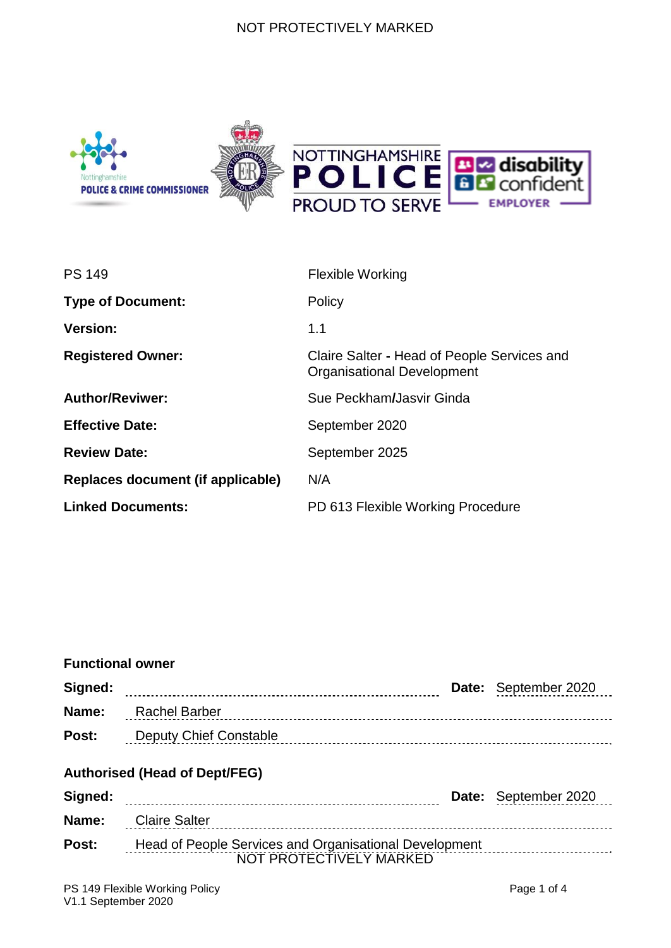#### NOT PROTECTIVELY MARKED



| <b>PS 149</b>                     | <b>Flexible Working</b>                                                   |  |
|-----------------------------------|---------------------------------------------------------------------------|--|
| <b>Type of Document:</b>          | Policy                                                                    |  |
| <b>Version:</b>                   | 1.1                                                                       |  |
| <b>Registered Owner:</b>          | Claire Salter - Head of People Services and<br>Organisational Development |  |
| <b>Author/Reviwer:</b>            | Sue Peckham/Jasvir Ginda                                                  |  |
| <b>Effective Date:</b>            | September 2020                                                            |  |
| <b>Review Date:</b>               | September 2025                                                            |  |
| Replaces document (if applicable) | N/A                                                                       |  |
| <b>Linked Documents:</b>          | PD 613 Flexible Working Procedure                                         |  |

# NOT PROTECTIVELY MARKED **Functional owner Signed: Date:** September 2020 **Name:** Rachel Barber **Post:** Deputy Chief Constable **Authorised (Head of Dept/FEG) Signed: Date:** September 2020 **Name:** Claire Salter **Post:** Head of People Services and Organisational Development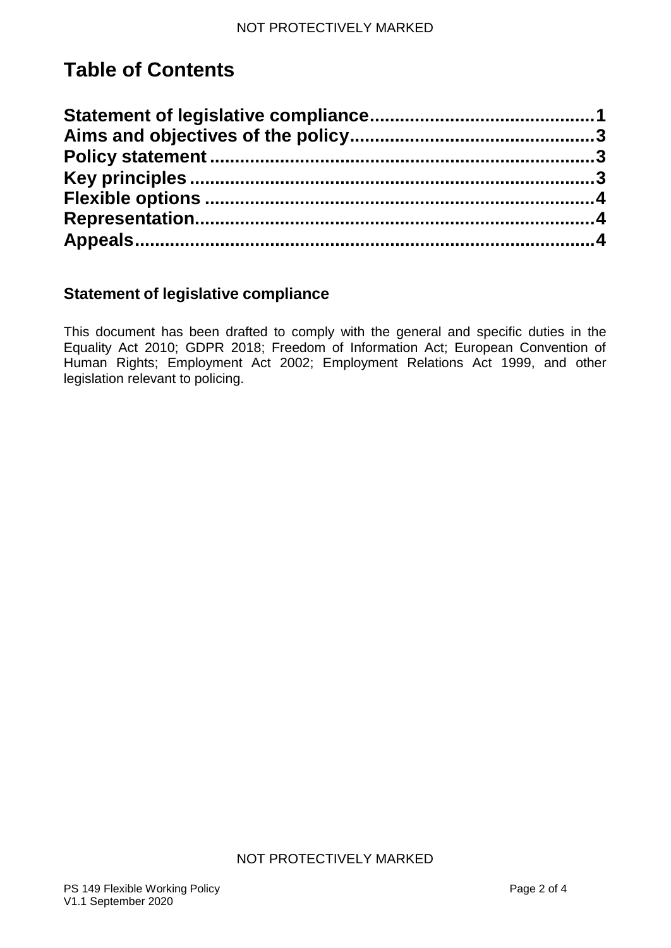# **Table of Contents**

# **Statement of legislative compliance**

This document has been drafted to comply with the general and specific duties in the Equality Act 2010; GDPR 2018; Freedom of Information Act; European Convention of Human Rights; Employment Act 2002; Employment Relations Act 1999, and other legislation relevant to policing.

### NOT PROTECTIVELY MARKED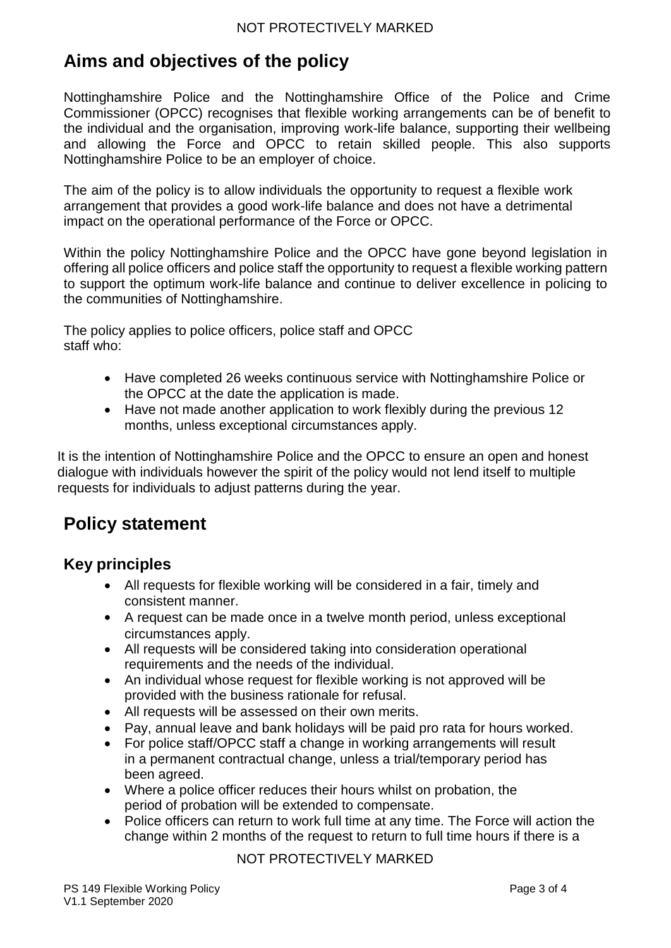# **Aims and objectives of the policy**

Nottinghamshire Police and the Nottinghamshire Office of the Police and Crime Commissioner (OPCC) recognises that flexible working arrangements can be of benefit to the individual and the organisation, improving work-life balance, supporting their wellbeing and allowing the Force and OPCC to retain skilled people. This also supports Nottinghamshire Police to be an employer of choice.

The aim of the policy is to allow individuals the opportunity to request a flexible work arrangement that provides a good work-life balance and does not have a detrimental impact on the operational performance of the Force or OPCC.

Within the policy Nottinghamshire Police and the OPCC have gone beyond legislation in offering all police officers and police staff the opportunity to request a flexible working pattern to support the optimum work-life balance and continue to deliver excellence in policing to the communities of Nottinghamshire.

The policy applies to police officers, police staff and OPCC staff who:

- Have completed 26 weeks continuous service with Nottinghamshire Police or the OPCC at the date the application is made.
- Have not made another application to work flexibly during the previous 12 months, unless exceptional circumstances apply.

It is the intention of Nottinghamshire Police and the OPCC to ensure an open and honest dialogue with individuals however the spirit of the policy would not lend itself to multiple requests for individuals to adjust patterns during the year.

# **Policy statement**

# **Key principles**

- All requests for flexible working will be considered in a fair, timely and consistent manner.
- A request can be made once in a twelve month period, unless exceptional circumstances apply.
- All requests will be considered taking into consideration operational requirements and the needs of the individual.
- An individual whose request for flexible working is not approved will be provided with the business rationale for refusal.
- All requests will be assessed on their own merits.
- Pay, annual leave and bank holidays will be paid pro rata for hours worked.
- For police staff/OPCC staff a change in working arrangements will result in a permanent contractual change, unless a trial/temporary period has been agreed.
- Where a police officer reduces their hours whilst on probation, the period of probation will be extended to compensate.
- Police officers can return to work full time at any time. The Force will action the change within 2 months of the request to return to full time hours if there is a

### NOT PROTECTIVELY MARKED